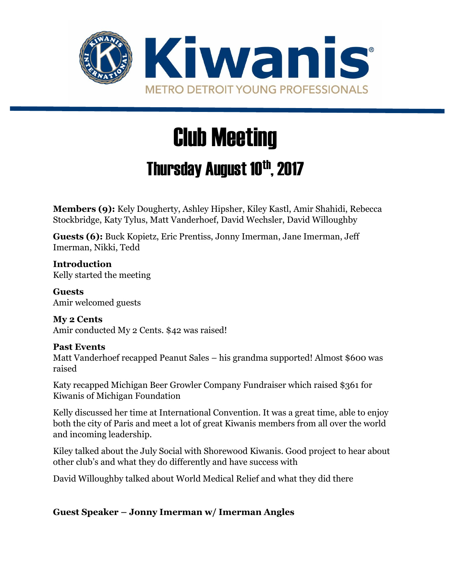

# Club Meeting

## Thursday August 10th, 2017

**Members (9):** Kely Dougherty, Ashley Hipsher, Kiley Kastl, Amir Shahidi, Rebecca Stockbridge, Katy Tylus, Matt Vanderhoef, David Wechsler, David Willoughby

**Guests (6):** Buck Kopietz, Eric Prentiss, Jonny Imerman, Jane Imerman, Jeff Imerman, Nikki, Tedd

**Introduction** Kelly started the meeting

**Guests** Amir welcomed guests

**My 2 Cents** Amir conducted My 2 Cents. \$42 was raised!

#### **Past Events**

Matt Vanderhoef recapped Peanut Sales – his grandma supported! Almost \$600 was raised

Katy recapped Michigan Beer Growler Company Fundraiser which raised \$361 for Kiwanis of Michigan Foundation

Kelly discussed her time at International Convention. It was a great time, able to enjoy both the city of Paris and meet a lot of great Kiwanis members from all over the world and incoming leadership.

Kiley talked about the July Social with Shorewood Kiwanis. Good project to hear about other club's and what they do differently and have success with

David Willoughby talked about World Medical Relief and what they did there

**Guest Speaker – Jonny Imerman w/ Imerman Angles**